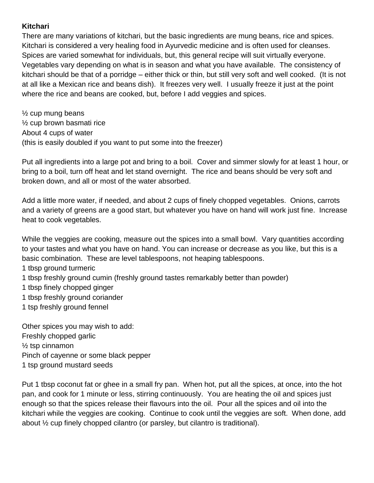## **Kitchari**

There are many variations of kitchari, but the basic ingredients are mung beans, rice and spices. Kitchari is considered a very healing food in Ayurvedic medicine and is often used for cleanses. Spices are varied somewhat for individuals, but, this general recipe will suit virtually everyone. Vegetables vary depending on what is in season and what you have available. The consistency of kitchari should be that of a porridge – either thick or thin, but still very soft and well cooked. (It is not at all like a Mexican rice and beans dish). It freezes very well. I usually freeze it just at the point where the rice and beans are cooked, but, before I add veggies and spices.

 $\frac{1}{2}$  cup mung beans ½ cup brown basmati rice About 4 cups of water (this is easily doubled if you want to put some into the freezer)

Put all ingredients into a large pot and bring to a boil. Cover and simmer slowly for at least 1 hour, or bring to a boil, turn off heat and let stand overnight. The rice and beans should be very soft and broken down, and all or most of the water absorbed.

Add a little more water, if needed, and about 2 cups of finely chopped vegetables. Onions, carrots and a variety of greens are a good start, but whatever you have on hand will work just fine. Increase heat to cook vegetables.

While the veggies are cooking, measure out the spices into a small bowl. Vary quantities according to your tastes and what you have on hand. You can increase or decrease as you like, but this is a basic combination. These are level tablespoons, not heaping tablespoons.

- 1 tbsp ground turmeric
- 1 tbsp freshly ground cumin (freshly ground tastes remarkably better than powder)
- 1 tbsp finely chopped ginger
- 1 tbsp freshly ground coriander
- 1 tsp freshly ground fennel

Other spices you may wish to add: Freshly chopped garlic  $\frac{1}{2}$  tsp cinnamon Pinch of cayenne or some black pepper 1 tsp ground mustard seeds

Put 1 tbsp coconut fat or ghee in a small fry pan. When hot, put all the spices, at once, into the hot pan, and cook for 1 minute or less, stirring continuously. You are heating the oil and spices just enough so that the spices release their flavours into the oil. Pour all the spices and oil into the kitchari while the veggies are cooking. Continue to cook until the veggies are soft. When done, add about ½ cup finely chopped cilantro (or parsley, but cilantro is traditional).